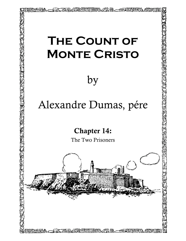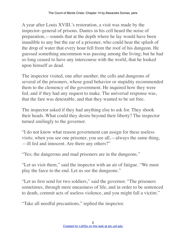A year after Louis XVIII.'s restoration, a visit was made by the inspector–general of prisons. Dantes in his cell heard the noise of preparation,—sounds that at the depth where he lay would have been inaudible to any but the ear of a prisoner, who could hear the splash of the drop of water that every hour fell from the roof of his dungeon. He guessed something uncommon was passing among the living; but he had so long ceased to have any intercourse with the world, that he looked upon himself as dead.

The inspector visited, one after another, the cells and dungeons of several of the prisoners, whose good behavior or stupidity recommended them to the clemency of the government. He inquired how they were fed, and if they had any request to make. The universal response was, that the fare was detestable, and that they wanted to be set free.

The inspector asked if they had anything else to ask for. They shook their heads. What could they desire beyond their liberty? The inspector turned smilingly to the governor.

"I do not know what reason government can assign for these useless visits; when you see one prisoner, you see all,—always the same thing, —ill fed and innocent. Are there any others?"

"Yes; the dangerous and mad prisoners are in the dungeons."

"Let us visit them," said the inspector with an air of fatigue. "We must play the farce to the end. Let us see the dungeons."

"Let us first send for two soldiers," said the governor. "The prisoners sometimes, through mere uneasiness of life, and in order to be sentenced to death, commit acts of useless violence, and you might fall a victim."

"Take all needful precautions," replied the inspector.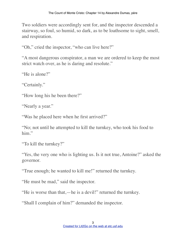Two soldiers were accordingly sent for, and the inspector descended a stairway, so foul, so humid, so dark, as to be loathsome to sight, smell, and respiration.

"Oh," cried the inspector, "who can live here?"

"A most dangerous conspirator, a man we are ordered to keep the most strict watch over, as he is daring and resolute."

"He is alone?"

"Certainly."

"How long his he been there?"

"Nearly a year."

"Was he placed here when he first arrived?"

"No; not until he attempted to kill the turnkey, who took his food to him."

"To kill the turnkey?"

"Yes, the very one who is lighting us. Is it not true, Antoine?" asked the governor.

"True enough; he wanted to kill me!" returned the turnkey.

"He must be mad," said the inspector.

"He is worse than that,—he is a devil!" returned the turnkey.

"Shall I complain of him?" demanded the inspector.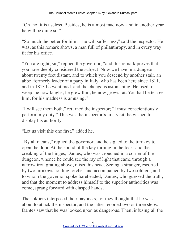"Oh, no; it is useless. Besides, he is almost mad now, and in another year he will be quite so."

"So much the better for him,—he will suffer less," said the inspector. He was, as this remark shows, a man full of philanthropy, and in every way fit for his office.

"You are right, sir," replied the governor; "and this remark proves that you have deeply considered the subject. Now we have in a dungeon about twenty feet distant, and to which you descend by another stair, an abbe, formerly leader of a party in Italy, who has been here since 1811, and in 1813 he went mad, and the change is astonishing. He used to weep, he now laughs; he grew thin, he now grows fat. You had better see him, for his madness is amusing."

"I will see them both," returned the inspector; "I must conscientiously perform my duty." This was the inspector's first visit; he wished to display his authority.

"Let us visit this one first," added he.

"By all means," replied the governor, and he signed to the turnkey to open the door. At the sound of the key turning in the lock, and the creaking of the hinges, Dantes, who was crouched in a corner of the dungeon, whence he could see the ray of light that came through a narrow iron grating above, raised his head. Seeing a stranger, escorted by two turnkeys holding torches and accompanied by two soldiers, and to whom the governor spoke bareheaded, Dantes, who guessed the truth, and that the moment to address himself to the superior authorities was come, sprang forward with clasped hands.

The soldiers interposed their bayonets, for they thought that he was about to attack the inspector, and the latter recoiled two or three steps. Dantes saw that he was looked upon as dangerous. Then, infusing all the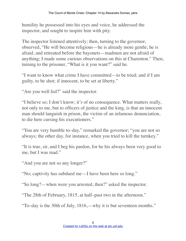humility he possessed into his eyes and voice, he addressed the inspector, and sought to inspire him with pity.

The inspector listened attentively; then, turning to the governor, observed, "He will become religious—he is already more gentle; he is afraid, and retreated before the bayonets—madmen are not afraid of anything; I made some curious observations on this at Charenton." Then, turning to the prisoner, "What is it you want?" said he.

"I want to know what crime I have committed—to be tried; and if I am guilty, to be shot; if innocent, to be set at liberty."

"Are you well fed?" said the inspector.

"I believe so; I don't know; it's of no consequence. What matters really, not only to me, but to officers of justice and the king, is that an innocent man should languish in prison, the victim of an infamous denunciation, to die here cursing his executioners."

"You are very humble to–day," remarked the governor; "you are not so always; the other day, for instance, when you tried to kill the turnkey."

"It is true, sir, and I beg his pardon, for he his always been very good to me, but I was mad."

"And you are not so any longer?"

"No; captivity has subdued me—I have been here so long."

"So long?—when were you arrested, then?" asked the inspector.

"The 28th of February, 1815, at half–past two in the afternoon."

"To–day is the 30th of July, 1816,—why it is but seventeen months."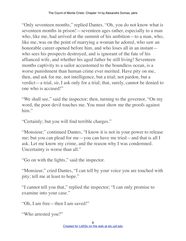"Only seventeen months," replied Dantes. "Oh, you do not know what is seventeen months in prison!—seventeen ages rather, especially to a man who, like me, had arrived at the summit of his ambition—to a man, who, like me, was on the point of marrying a woman he adored, who saw an honorable career opened before him, and who loses all in an instant who sees his prospects destroyed, and is ignorant of the fate of his affianced wife, and whether his aged father be still living! Seventeen months captivity to a sailor accustomed to the boundless ocean, is a worse punishment than human crime ever merited. Have pity on me, then, and ask for me, not intelligence, but a trial; not pardon, but a verdict—a trial, sir, I ask only for a trial; that, surely, cannot be denied to one who is accused!"

"We shall see," said the inspector; then, turning to the governor, "On my" word, the poor devil touches me. You must show me the proofs against him."

"Certainly; but you will find terrible charges."

"Monsieur," continued Dantes, "I know it is not in your power to release me; but you can plead for me—you can have me tried—and that is all I ask. Let me know my crime, and the reason why I was condemned. Uncertainty is worse than all."

"Go on with the lights," said the inspector.

"Monsieur," cried Dantes, "I can tell by your voice you are touched with pity; tell me at least to hope."

"I cannot tell you that," replied the inspector; "I can only promise to examine into your case."

"Oh, I am free—then I am saved!"

"Who arrested you?"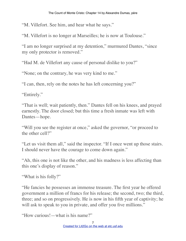"M. Villefort. See him, and hear what he says."

"M. Villefort is no longer at Marseilles; he is now at Toulouse."

"I am no longer surprised at my detention," murmured Dantes, "since my only protector is removed."

"Had M. de Villefort any cause of personal dislike to you?"

"None; on the contrary, he was very kind to me."

"I can, then, rely on the notes he has left concerning you?"

"Entirely."

"That is well; wait patiently, then." Dantes fell on his knees, and prayed earnestly. The door closed; but this time a fresh inmate was left with Dantes—hope.

"Will you see the register at once," asked the governor, "or proceed to the other cell?"

"Let us visit them all," said the inspector. "If I once went up those stairs. I should never have the courage to come down again."

"Ah, this one is not like the other, and his madness is less affecting than this one's display of reason."

"What is his folly?"

"He fancies he possesses an immense treasure. The first year he offered government a million of francs for his release; the second, two; the third, three; and so on progressively. He is now in his fifth year of captivity; he will ask to speak to you in private, and offer you five millions."

"How curious!—what is his name?"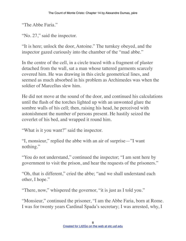"The Abbe Faria."

"No. 27," said the inspector.

"It is here; unlock the door, Antoine." The turnkey obeyed, and the inspector gazed curiously into the chamber of the "mad abbe."

In the centre of the cell, in a circle traced with a fragment of plaster detached from the wall, sat a man whose tattered garments scarcely covered him. He was drawing in this circle geometrical lines, and seemed as much absorbed in his problem as Archimedes was when the soldier of Marcellus slew him.

He did not move at the sound of the door, and continued his calculations until the flash of the torches lighted up with an unwonted glare the sombre walls of his cell; then, raising his head, he perceived with astonishment the number of persons present. He hastily seized the coverlet of his bed, and wrapped it round him.

"What is it you want?" said the inspector.

"I, monsieur," replied the abbe with an air of surprise—"I want nothing."

"You do not understand," continued the inspector; "I am sent here by government to visit the prison, and hear the requests of the prisoners."

"Oh, that is different," cried the abbe; "and we shall understand each other, I hope."

"There, now," whispered the governor, "it is just as I told you."

"Monsieur," continued the prisoner, "I am the Abbe Faria, born at Rome. I was for twenty years Cardinal Spada's secretary; I was arrested, why, I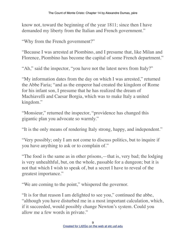know not, toward the beginning of the year 1811; since then I have demanded my liberty from the Italian and French government."

"Why from the French government?"

"Because I was arrested at Piombino, and I presume that, like Milan and Florence, Piombino has become the capital of some French department."

"Ah," said the inspector, "you have not the latest news from Italy?"

"My information dates from the day on which I was arrested," returned the Abbe Faria; "and as the emperor had created the kingdom of Rome for his infant son, I presume that he has realized the dream of Machiavelli and Caesar Borgia, which was to make Italy a united kingdom."

"Monsieur," returned the inspector, "providence has changed this gigantic plan you advocate so warmly."

"It is the only means of rendering Italy strong, happy, and independent."

"Very possibly; only I am not come to discuss politics, but to inquire if you have anything to ask or to complain of."

"The food is the same as in other prisons,—that is, very bad; the lodging is very unhealthful, but, on the whole, passable for a dungeon; but it is not that which I wish to speak of, but a secret I have to reveal of the greatest importance."

"We are coming to the point," whispered the governor.

"It is for that reason I am delighted to see you," continued the abbe, "although you have disturbed me in a most important calculation, which, if it succeeded, would possibly change Newton's system. Could you allow me a few words in private."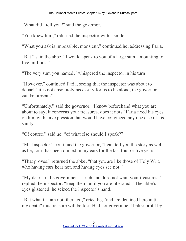"What did I tell you?" said the governor.

"You knew him," returned the inspector with a smile.

"What you ask is impossible, monsieur," continued he, addressing Faria.

"But," said the abbe, "I would speak to you of a large sum, amounting to five millions."

"The very sum you named," whispered the inspector in his turn.

"However," continued Faria, seeing that the inspector was about to depart, "it is not absolutely necessary for us to be alone; the governor can be present."

"Unfortunately," said the governor, "I know beforehand what you are about to say; it concerns your treasures, does it not?" Faria fixed his eyes on him with an expression that would have convinced any one else of his sanity.

"Of course," said he; "of what else should I speak?"

"Mr. Inspector," continued the governor, "I can tell you the story as well as he, for it has been dinned in my ears for the last four or five years."

"That proves," returned the abbe, "that you are like those of Holy Writ, who having ears hear not, and having eyes see not."

"My dear sir, the government is rich and does not want your treasures," replied the inspector; "keep them until you are liberated." The abbe's eyes glistened; he seized the inspector's hand.

"But what if I am not liberated," cried he, "and am detained here until my death? this treasure will be lost. Had not government better profit by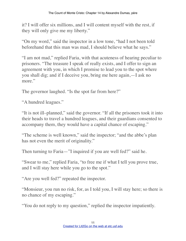it? I will offer six millions, and I will content myself with the rest, if they will only give me my liberty."

"On my word," said the inspector in a low tone, "had I not been told beforehand that this man was mad, I should believe what he says."

"I am not mad," replied Faria, with that acuteness of hearing peculiar to prisoners. "The treasure I speak of really exists, and I offer to sign an agreement with you, in which I promise to lead you to the spot where you shall dig; and if I deceive you, bring me here again,—I ask no more."

The governor laughed. "Is the spot far from here?"

"A hundred leagues."

"It is not ill–planned," said the governor. "If all the prisoners took it into their heads to travel a hundred leagues, and their guardians consented to accompany them, they would have a capital chance of escaping."

"The scheme is well known," said the inspector; "and the abbe's plan has not even the merit of originality."

Then turning to Faria—"I inquired if you are well fed?" said he.

"Swear to me," replied Faria, "to free me if what I tell you prove true, and I will stay here while you go to the spot."

"Are you well fed?" repeated the inspector.

"Monsieur, you run no risk, for, as I told you, I will stay here; so there is no chance of my escaping."

"You do not reply to my question," replied the inspector impatiently.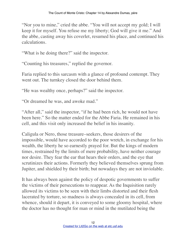"Nor you to mine," cried the abbe. "You will not accept my gold; I will keep it for myself. You refuse me my liberty; God will give it me." And the abbe, casting away his coverlet, resumed his place, and continued his calculations.

"What is he doing there?" said the inspector.

"Counting his treasures," replied the governor.

Faria replied to this sarcasm with a glance of profound contempt. They went out. The turnkey closed the door behind them.

"He was wealthy once, perhaps?" said the inspector.

"Or dreamed he was, and awoke mad."

"After all," said the inspector, "if he had been rich, he would not have been here." So the matter ended for the Abbe Faria. He remained in his cell, and this visit only increased the belief in his insanity.

Caligula or Nero, those treasure–seekers, those desirers of the impossible, would have accorded to the poor wretch, in exchange for his wealth, the liberty he so earnestly prayed for. But the kings of modern times, restrained by the limits of mere probability, have neither courage nor desire. They fear the ear that hears their orders, and the eye that scrutinizes their actions. Formerly they believed themselves sprung from Jupiter, and shielded by their birth; but nowadays they are not inviolable.

It has always been against the policy of despotic governments to suffer the victims of their persecutions to reappear. As the Inquisition rarely allowed its victims to be seen with their limbs distorted and their flesh lacerated by torture, so madness is always concealed in its cell, from whence, should it depart, it is conveyed to some gloomy hospital, where the doctor has no thought for man or mind in the mutilated being the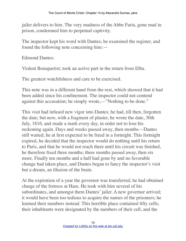jailer delivers to him. The very madness of the Abbe Faria, gone mad in prison, condemned him to perpetual captivity.

The inspector kept his word with Dantes; he examined the register, and found the following note concerning him:—

Edmond Dantes:

Violent Bonapartist; took an active part in the return from Elba.

The greatest watchfulness and care to be exercised.

This note was in a different hand from the rest, which showed that it had been added since his confinement. The inspector could not contend against this accusation; he simply wrote,—"Nothing to be done."

This visit had infused new vigor into Dantes; he had, till then, forgotten the date; but now, with a fragment of plaster, he wrote the date, 30th July, 1816, and made a mark every day, in order not to lose his reckoning again. Days and weeks passed away, then months—Dantes still waited; he at first expected to be freed in a fortnight. This fortnight expired, he decided that the inspector would do nothing until his return to Paris, and that he would not reach there until his circuit was finished, he therefore fixed three months; three months passed away, then six more. Finally ten months and a half had gone by and no favorable change had taken place, and Dantes began to fancy the inspector's visit but a dream, an illusion of the brain.

At the expiration of a year the governor was transferred; he had obtained charge of the fortress at Ham. He took with him several of his subordinates, and amongst them Dantes' jailer. A new governor arrived; it would have been too tedious to acquire the names of the prisoners; he learned their numbers instead. This horrible place contained fifty cells; their inhabitants were designated by the numbers of their cell, and the